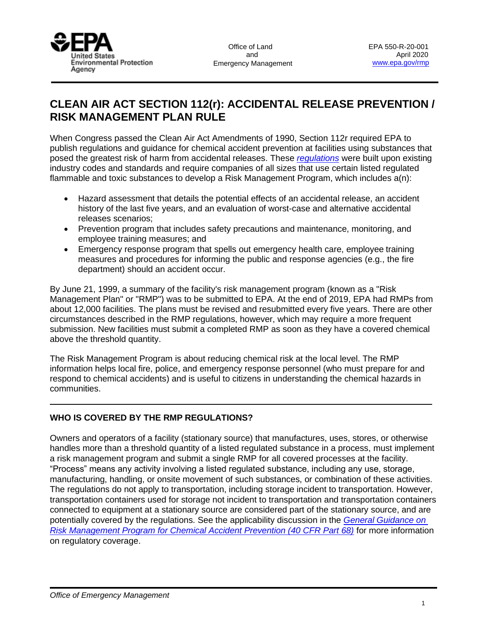

# **CLEAN AIR ACT SECTION 112(r): ACCIDENTAL RELEASE PREVENTION / RISK MANAGEMENT PLAN RULE**

When Congress passed the Clean Air Act Amendments of 1990, Section 112r required EPA to publish regulations and guidance for chemical accident prevention at facilities using substances that posed the greatest risk of harm from accidental releases. These *[regulations](https://www.ecfr.gov/cgi-bin/text-idx?c=ecfr&SID=b843807afdc641b203ffec44aa671d36&rgn=div5&view=text&node=40:16.0.1.1.5&idno=40)* were built upon existing industry codes and standards and require companies of all sizes that use certain listed regulated flammable and toxic substances to develop a Risk Management Program, which includes a(n):

- Hazard assessment that details the potential effects of an accidental release, an accident history of the last five years, and an evaluation of worst-case and alternative accidental releases scenarios;
- Prevention program that includes safety precautions and maintenance, monitoring, and employee training measures; and
- Emergency response program that spells out emergency health care, employee training measures and procedures for informing the public and response agencies (e.g., the fire department) should an accident occur.

By June 21, 1999, a summary of the facility's risk management program (known as a "Risk Management Plan" or "RMP") was to be submitted to EPA. At the end of 2019, EPA had RMPs from about 12,000 facilities. The plans must be revised and resubmitted every five years. There are other circumstances described in the RMP regulations, however, which may require a more frequent submission. New facilities must submit a completed RMP as soon as they have a covered chemical above the threshold quantity.

The Risk Management Program is about reducing chemical risk at the local level. The RMP information helps local fire, police, and emergency response personnel (who must prepare for and respond to chemical accidents) and is useful to citizens in understanding the chemical hazards in communities.

# **WHO IS COVERED BY THE RMP REGULATIONS?**

Owners and operators of a facility (stationary source) that manufactures, uses, stores, or otherwise handles more than a threshold quantity of a listed regulated substance in a process, must implement a risk management program and submit a single RMP for all covered processes at the facility. "Process" means any activity involving a listed regulated substance, including any use, storage, manufacturing, handling, or onsite movement of such substances, or combination of these activities. The regulations do not apply to transportation, including storage incident to transportation. However, transportation containers used for storage not incident to transportation and transportation containers connected to equipment at a stationary source are considered part of the stationary source, and are potentially covered by the regulations. See the applicability discussion in the *[General Guidance on](https://www.epa.gov/sites/production/files/2013-10/documents/chap-01-final.pdf)  [Risk Management Program for Chemical Accident Prevention \(40 CFR Part 68\)](https://www.epa.gov/sites/production/files/2013-10/documents/chap-01-final.pdf)* for more information on regulatory coverage.